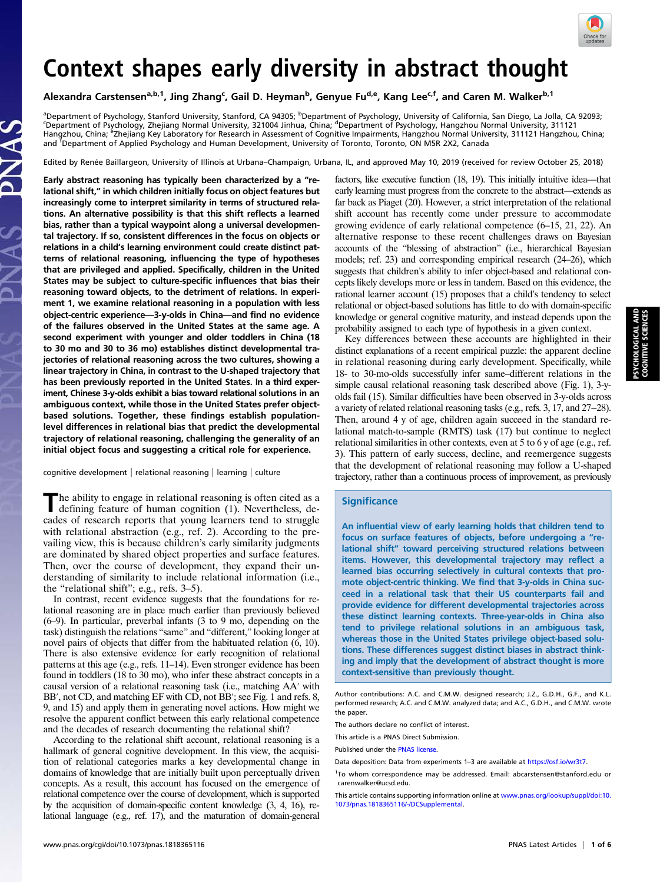

# Context shapes early diversity in abstract thought

Alexandra Carstensen<sup>a,b,1</sup>, Jing Zhang<sup>c</sup>, Gail D. Heyman<sup>b</sup>, Genyue Fu<sup>d,e</sup>, Kang Lee<sup>c,f</sup>, and Caren M. Walker<sup>b,1</sup>

<sup>a</sup>Department of Psychology, Stanford University, Stanford, CA 94305; <sup>b</sup>Department of Psychology, University of California, San Diego, La Jolla, CA 92093;<br>SDopartment of Psychology, Zbeijang Normal University, 221004 linh Department of Psychology, Zhejiang Normal University, 321004 Jinhua, China; <sup>d</sup>Department of Psychology, Hangzhou Normal University, 311121 Hangzhou, China; <sup>e</sup>Zhejiang Key Laboratory for Research in Assessment of Cognitive Impairments, Hangzhou Normal University, 311121 Hangzhou, China; and <sup>T</sup>Department of Applied Psychology and Human Development, University of Toronto, Toronto, ON M5R 2X2, Canada

Edited by Renée Baillargeon, University of Illinois at Urbana–Champaign, Urbana, IL, and approved May 10, 2019 (received for review October 25, 2018)

Early abstract reasoning has typically been characterized by a "relational shift," in which children initially focus on object features but increasingly come to interpret similarity in terms of structured relations. An alternative possibility is that this shift reflects a learned bias, rather than a typical waypoint along a universal developmental trajectory. If so, consistent differences in the focus on objects or relations in a child's learning environment could create distinct patterns of relational reasoning, influencing the type of hypotheses that are privileged and applied. Specifically, children in the United States may be subject to culture-specific influences that bias their reasoning toward objects, to the detriment of relations. In experiment 1, we examine relational reasoning in a population with less object-centric experience—3-y-olds in China—and find no evidence of the failures observed in the United States at the same age. A second experiment with younger and older toddlers in China (18 to 30 mo and 30 to 36 mo) establishes distinct developmental trajectories of relational reasoning across the two cultures, showing a linear trajectory in China, in contrast to the U-shaped trajectory that has been previously reported in the United States. In a third experiment, Chinese 3-y-olds exhibit a bias toward relational solutions in an ambiguous context, while those in the United States prefer objectbased solutions. Together, these findings establish populationlevel differences in relational bias that predict the developmental trajectory of relational reasoning, challenging the generality of an initial object focus and suggesting a critical role for experience.

cognitive development | relational reasoning | learning | culture

The ability to engage in relational reasoning is often cited as a defining feature of human cognition (1). Nevertheless, decades of research reports that young learners tend to struggle with relational abstraction (e.g., ref. 2). According to the prevailing view, this is because children's early similarity judgments are dominated by shared object properties and surface features. Then, over the course of development, they expand their understanding of similarity to include relational information (i.e., the "relational shift"; e.g., refs. 3–5).

In contrast, recent evidence suggests that the foundations for relational reasoning are in place much earlier than previously believed (6–9). In particular, preverbal infants (3 to 9 mo, depending on the task) distinguish the relations "same" and "different," looking longer at novel pairs of objects that differ from the habituated relation (6, 10). There is also extensive evidence for early recognition of relational patterns at this age (e.g., refs. 11–14). Even stronger evidence has been found in toddlers (18 to 30 mo), who infer these abstract concepts in a causal version of a relational reasoning task (i.e., matching AA′ with BB', not CD, and matching EF with CD, not BB'; see Fig. 1 and refs. 8, 9, and 15) and apply them in generating novel actions. How might we resolve the apparent conflict between this early relational competence and the decades of research documenting the relational shift?

According to the relational shift account, relational reasoning is a hallmark of general cognitive development. In this view, the acquisition of relational categories marks a key developmental change in domains of knowledge that are initially built upon perceptually driven concepts. As a result, this account has focused on the emergence of relational competence over the course of development, which is supported by the acquisition of domain-specific content knowledge (3, 4, 16), relational language (e.g., ref. 17), and the maturation of domain-general

factors, like executive function (18, 19). This initially intuitive idea—that early learning must progress from the concrete to the abstract—extends as far back as Piaget (20). However, a strict interpretation of the relational shift account has recently come under pressure to accommodate growing evidence of early relational competence (6–15, 21, 22). An alternative response to these recent challenges draws on Bayesian accounts of the "blessing of abstraction" (i.e., hierarchical Bayesian models; ref. 23) and corresponding empirical research (24–26), which suggests that children's ability to infer object-based and relational concepts likely develops more or less in tandem. Based on this evidence, the rational learner account (15) proposes that a child's tendency to select relational or object-based solutions has little to do with domain-specific knowledge or general cognitive maturity, and instead depends upon the probability assigned to each type of hypothesis in a given context.

Key differences between these accounts are highlighted in their distinct explanations of a recent empirical puzzle: the apparent decline in relational reasoning during early development. Specifically, while 18- to 30-mo-olds successfully infer same–different relations in the simple causal relational reasoning task described above (Fig. 1), 3-yolds fail (15). Similar difficulties have been observed in 3-y-olds across a variety of related relational reasoning tasks (e.g., refs. 3, 17, and 27−28). Then, around 4 y of age, children again succeed in the standard relational match-to-sample (RMTS) task (17) but continue to neglect relational similarities in other contexts, even at 5 to 6 y of age (e.g., ref. 3). This pattern of early success, decline, and reemergence suggests that the development of relational reasoning may follow a U-shaped trajectory, rather than a continuous process of improvement, as previously

#### **Significance**

An influential view of early learning holds that children tend to focus on surface features of objects, before undergoing a "relational shift" toward perceiving structured relations between items. However, this developmental trajectory may reflect a learned bias occurring selectively in cultural contexts that promote object-centric thinking. We find that 3-y-olds in China succeed in a relational task that their US counterparts fail and provide evidence for different developmental trajectories across these distinct learning contexts. Three-year-olds in China also tend to privilege relational solutions in an ambiguous task, whereas those in the United States privilege object-based solutions. These differences suggest distinct biases in abstract thinking and imply that the development of abstract thought is more context-sensitive than previously thought.

The authors declare no conflict of interest.

This article is a PNAS Direct Submission.

Published under the [PNAS license.](https://www.pnas.org/site/aboutpnas/licenses.xhtml)

Data deposition: Data from experiments 1-3 are available at [https://osf.io/wr3t7.](https://osf.io/wr3t7)

Author contributions: A.C. and C.M.W. designed research; J.Z., G.D.H., G.F., and K.L. performed research; A.C. and C.M.W. analyzed data; and A.C., G.D.H., and C.M.W. wrote the paper.

<sup>&</sup>lt;sup>1</sup>To whom correspondence may be addressed. Email: [abcarstensen@stanford.edu](mailto:abcarstensen@stanford.edu) or [carenwalker@ucsd.edu](mailto:carenwalker@ucsd.edu).

This article contains supporting information online at [www.pnas.org/lookup/suppl/doi:10.](https://www.pnas.org/lookup/suppl/doi:10.1073/pnas.1818365116/-/DCSupplemental) [1073/pnas.1818365116/-/DCSupplemental](https://www.pnas.org/lookup/suppl/doi:10.1073/pnas.1818365116/-/DCSupplemental).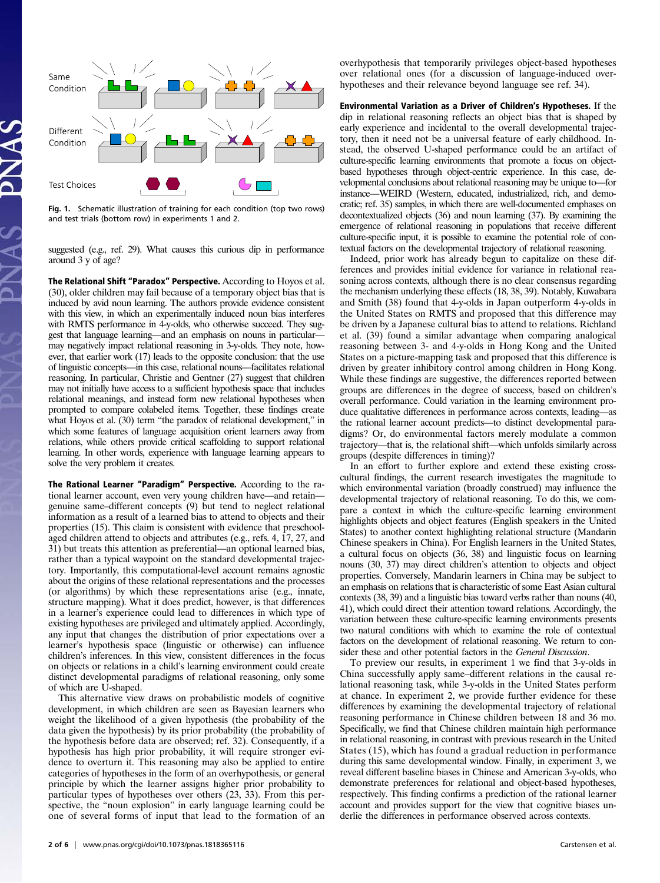

Fig. 1. Schematic illustration of training for each condition (top two rows) and test trials (bottom row) in experiments 1 and 2.

suggested (e.g., ref. 29). What causes this curious dip in performance around 3 y of age?

The Relational Shift "Paradox" Perspective. According to Hoyos et al. (30), older children may fail because of a temporary object bias that is induced by avid noun learning. The authors provide evidence consistent with this view, in which an experimentally induced noun bias interferes with RMTS performance in 4-y-olds, who otherwise succeed. They suggest that language learning—and an emphasis on nouns in particular may negatively impact relational reasoning in 3-y-olds. They note, however, that earlier work (17) leads to the opposite conclusion: that the use of linguistic concepts—in this case, relational nouns—facilitates relational reasoning. In particular, Christie and Gentner (27) suggest that children may not initially have access to a sufficient hypothesis space that includes relational meanings, and instead form new relational hypotheses when prompted to compare colabeled items. Together, these findings create what Hoyos et al. (30) term "the paradox of relational development," in which some features of language acquisition orient learners away from relations, while others provide critical scaffolding to support relational learning. In other words, experience with language learning appears to solve the very problem it creates.

The Rational Learner "Paradigm" Perspective. According to the rational learner account, even very young children have—and retain genuine same–different concepts (9) but tend to neglect relational information as a result of a learned bias to attend to objects and their properties (15). This claim is consistent with evidence that preschoolaged children attend to objects and attributes (e.g., refs. 4, 17, 27, and 31) but treats this attention as preferential—an optional learned bias, rather than a typical waypoint on the standard developmental trajectory. Importantly, this computational-level account remains agnostic about the origins of these relational representations and the processes (or algorithms) by which these representations arise (e.g., innate, structure mapping). What it does predict, however, is that differences in a learner's experience could lead to differences in which type of existing hypotheses are privileged and ultimately applied. Accordingly, any input that changes the distribution of prior expectations over a learner's hypothesis space (linguistic or otherwise) can influence children's inferences. In this view, consistent differences in the focus on objects or relations in a child's learning environment could create distinct developmental paradigms of relational reasoning, only some of which are U-shaped.

This alternative view draws on probabilistic models of cognitive development, in which children are seen as Bayesian learners who weight the likelihood of a given hypothesis (the probability of the data given the hypothesis) by its prior probability (the probability of the hypothesis before data are observed; ref. 32). Consequently, if a hypothesis has high prior probability, it will require stronger evidence to overturn it. This reasoning may also be applied to entire categories of hypotheses in the form of an overhypothesis, or general principle by which the learner assigns higher prior probability to particular types of hypotheses over others (23, 33). From this perspective, the "noun explosion" in early language learning could be one of several forms of input that lead to the formation of an overhypothesis that temporarily privileges object-based hypotheses over relational ones (for a discussion of language-induced overhypotheses and their relevance beyond language see ref. 34).

Environmental Variation as a Driver of Children's Hypotheses. If the dip in relational reasoning reflects an object bias that is shaped by early experience and incidental to the overall developmental trajectory, then it need not be a universal feature of early childhood. Instead, the observed U-shaped performance could be an artifact of culture-specific learning environments that promote a focus on objectbased hypotheses through object-centric experience. In this case, developmental conclusions about relational reasoning may be unique to—for instance—WEIRD (Western, educated, industrialized, rich, and democratic; ref. 35) samples, in which there are well-documented emphases on decontextualized objects (36) and noun learning (37). By examining the emergence of relational reasoning in populations that receive different culture-specific input, it is possible to examine the potential role of contextual factors on the developmental trajectory of relational reasoning.

Indeed, prior work has already begun to capitalize on these differences and provides initial evidence for variance in relational reasoning across contexts, although there is no clear consensus regarding the mechanism underlying these effects (18, 38, 39). Notably, Kuwabara and Smith (38) found that 4-y-olds in Japan outperform 4-y-olds in the United States on RMTS and proposed that this difference may be driven by a Japanese cultural bias to attend to relations. Richland et al. (39) found a similar advantage when comparing analogical reasoning between 3- and 4-y-olds in Hong Kong and the United States on a picture-mapping task and proposed that this difference is driven by greater inhibitory control among children in Hong Kong. While these findings are suggestive, the differences reported between groups are differences in the degree of success, based on children's overall performance. Could variation in the learning environment produce qualitative differences in performance across contexts, leading—as the rational learner account predicts—to distinct developmental paradigms? Or, do environmental factors merely modulate a common trajectory—that is, the relational shift—which unfolds similarly across groups (despite differences in timing)?

In an effort to further explore and extend these existing crosscultural findings, the current research investigates the magnitude to which environmental variation (broadly construed) may influence the developmental trajectory of relational reasoning. To do this, we compare a context in which the culture-specific learning environment highlights objects and object features (English speakers in the United States) to another context highlighting relational structure (Mandarin Chinese speakers in China). For English learners in the United States, a cultural focus on objects (36, 38) and linguistic focus on learning nouns (30, 37) may direct children's attention to objects and object properties. Conversely, Mandarin learners in China may be subject to an emphasis on relations that is characteristic of some East Asian cultural contexts (38, 39) and a linguistic bias toward verbs rather than nouns (40, 41), which could direct their attention toward relations. Accordingly, the variation between these culture-specific learning environments presents two natural conditions with which to examine the role of contextual factors on the development of relational reasoning. We return to consider these and other potential factors in the General Discussion.

To preview our results, in experiment 1 we find that 3-y-olds in China successfully apply same–different relations in the causal relational reasoning task, while 3-y-olds in the United States perform at chance. In experiment 2, we provide further evidence for these differences by examining the developmental trajectory of relational reasoning performance in Chinese children between 18 and 36 mo. Specifically, we find that Chinese children maintain high performance in relational reasoning, in contrast with previous research in the United States (15), which has found a gradual reduction in performance during this same developmental window. Finally, in experiment 3, we reveal different baseline biases in Chinese and American 3-y-olds, who demonstrate preferences for relational and object-based hypotheses, respectively. This finding confirms a prediction of the rational learner account and provides support for the view that cognitive biases underlie the differences in performance observed across contexts.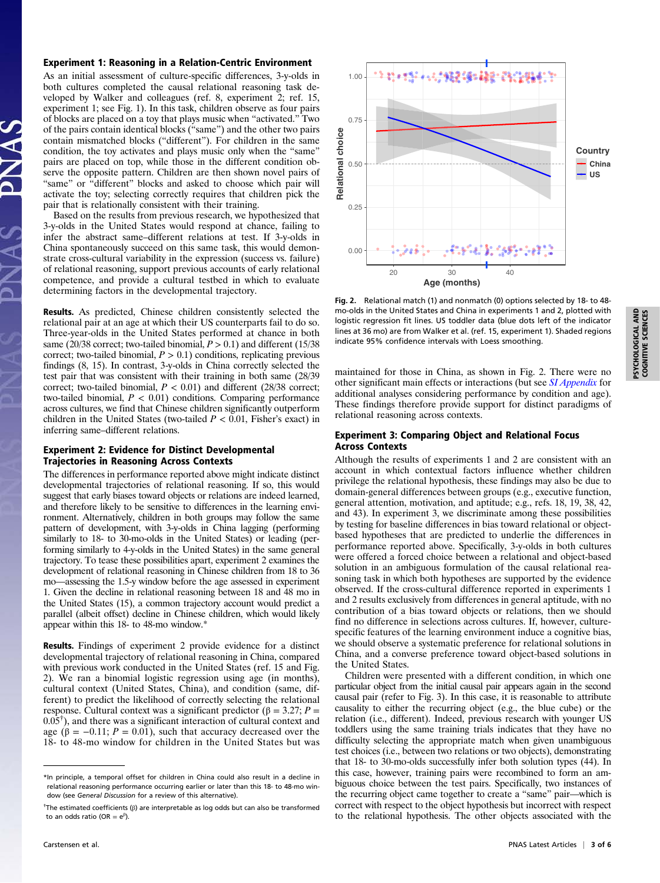### Experiment 1: Reasoning in a Relation-Centric Environment

As an initial assessment of culture-specific differences, 3-y-olds in both cultures completed the causal relational reasoning task developed by Walker and colleagues (ref. 8, experiment 2; ref. 15, experiment 1; see Fig. 1). In this task, children observe as four pairs of blocks are placed on a toy that plays music when "activated." Two of the pairs contain identical blocks ("same") and the other two pairs contain mismatched blocks ("different"). For children in the same condition, the toy activates and plays music only when the "same" pairs are placed on top, while those in the different condition observe the opposite pattern. Children are then shown novel pairs of "same" or "different" blocks and asked to choose which pair will activate the toy; selecting correctly requires that children pick the pair that is relationally consistent with their training.

Based on the results from previous research, we hypothesized that 3-y-olds in the United States would respond at chance, failing to infer the abstract same–different relations at test. If 3-y-olds in China spontaneously succeed on this same task, this would demonstrate cross-cultural variability in the expression (success vs. failure) of relational reasoning, support previous accounts of early relational competence, and provide a cultural testbed in which to evaluate determining factors in the developmental trajectory.

Results. As predicted, Chinese children consistently selected the relational pair at an age at which their US counterparts fail to do so. Three-year-olds in the United States performed at chance in both same (20/38 correct; two-tailed binomial,  $P > 0.1$ ) and different (15/38) correct; two-tailed binomial,  $P > 0.1$ ) conditions, replicating previous findings (8, 15). In contrast, 3-y-olds in China correctly selected the test pair that was consistent with their training in both same (28/39 correct; two-tailed binomial,  $P < 0.01$ ) and different (28/38 correct; two-tailed binomial,  $P < 0.01$ ) conditions. Comparing performance across cultures, we find that Chinese children significantly outperform children in the United States (two-tailed  $P < 0.01$ , Fisher's exact) in inferring same–different relations.

## Experiment 2: Evidence for Distinct Developmental Trajectories in Reasoning Across Contexts

The differences in performance reported above might indicate distinct developmental trajectories of relational reasoning. If so, this would suggest that early biases toward objects or relations are indeed learned, and therefore likely to be sensitive to differences in the learning environment. Alternatively, children in both groups may follow the same pattern of development, with 3-y-olds in China lagging (performing similarly to 18- to 30-mo-olds in the United States) or leading (performing similarly to 4-y-olds in the United States) in the same general trajectory. To tease these possibilities apart, experiment 2 examines the development of relational reasoning in Chinese children from 18 to 36 mo—assessing the 1.5-y window before the age assessed in experiment 1. Given the decline in relational reasoning between 18 and 48 mo in the United States (15), a common trajectory account would predict a parallel (albeit offset) decline in Chinese children, which would likely appear within this 18- to 48-mo window.\*

Results. Findings of experiment 2 provide evidence for a distinct developmental trajectory of relational reasoning in China, compared with previous work conducted in the United States (ref. 15 and Fig. 2). We ran a binomial logistic regression using age (in months), cultural context (United States, China), and condition (same, different) to predict the likelihood of correctly selecting the relational response. Cultural context was a significant predictor (β = 3.27;  $P =$  $0.05^{\dagger}$ ), and there was a significant interaction of cultural context and age ( $\beta = -0.11$ ;  $P = 0.01$ ), such that accuracy decreased over the 18- to 48-mo window for children in the United States but was



Fig. 2. Relational match (1) and nonmatch (0) options selected by 18- to 48 mo-olds in the United States and China in experiments 1 and 2, plotted with logistic regression fit lines. US toddler data (blue dots left of the indicator lines at 36 mo) are from Walker et al. (ref. 15, experiment 1). Shaded regions indicate 95% confidence intervals with Loess smoothing.

maintained for those in China, as shown in Fig. 2. There were no other significant main effects or interactions (but see [SI Appendix](https://www.pnas.org/lookup/suppl/doi:10.1073/pnas.1818365116/-/DCSupplemental) for additional analyses considering performance by condition and age). These findings therefore provide support for distinct paradigms of relational reasoning across contexts.

# Experiment 3: Comparing Object and Relational Focus Across Contexts

Although the results of experiments 1 and 2 are consistent with an account in which contextual factors influence whether children privilege the relational hypothesis, these findings may also be due to domain-general differences between groups (e.g., executive function, general attention, motivation, and aptitude; e.g., refs. 18, 19, 38, 42, and 43). In experiment 3, we discriminate among these possibilities by testing for baseline differences in bias toward relational or objectbased hypotheses that are predicted to underlie the differences in performance reported above. Specifically, 3-y-olds in both cultures were offered a forced choice between a relational and object-based solution in an ambiguous formulation of the causal relational reasoning task in which both hypotheses are supported by the evidence observed. If the cross-cultural difference reported in experiments 1 and 2 results exclusively from differences in general aptitude, with no contribution of a bias toward objects or relations, then we should find no difference in selections across cultures. If, however, culturespecific features of the learning environment induce a cognitive bias, we should observe a systematic preference for relational solutions in China, and a converse preference toward object-based solutions in the United States.

Children were presented with a different condition, in which one particular object from the initial causal pair appears again in the second causal pair (refer to Fig. 3). In this case, it is reasonable to attribute causality to either the recurring object (e.g., the blue cube) or the relation (i.e., different). Indeed, previous research with younger US toddlers using the same training trials indicates that they have no difficulty selecting the appropriate match when given unambiguous test choices (i.e., between two relations or two objects), demonstrating that 18- to 30-mo-olds successfully infer both solution types (44). In this case, however, training pairs were recombined to form an ambiguous choice between the test pairs. Specifically, two instances of the recurring object came together to create a "same" pair—which is correct with respect to the object hypothesis but incorrect with respect to the relational hypothesis. The other objects associated with the

<sup>\*</sup>In principle, a temporal offset for children in China could also result in a decline in relational reasoning performance occurring earlier or later than this 18- to 48-mo window (see General Discussion for a review of this alternative).

<sup>&</sup>lt;sup>†</sup>The estimated coefficients (β) are interpretable as log odds but can also be transformed to an odds ratio (OR =  $e^{\beta}$ ).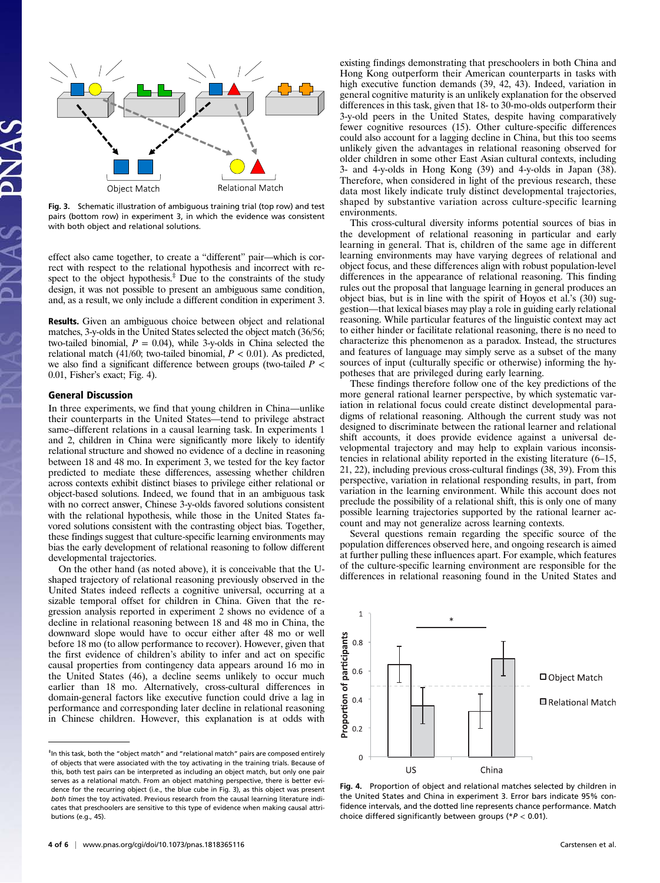

Fig. 3. Schematic illustration of ambiguous training trial (top row) and test pairs (bottom row) in experiment 3, in which the evidence was consistent with both object and relational solutions.

effect also came together, to create a "different" pair—which is correct with respect to the relational hypothesis and incorrect with respect to the object hypothesis. $\frac{4}{3}$  Due to the constraints of the study design, it was not possible to present an ambiguous same condition, and, as a result, we only include a different condition in experiment 3.

Results. Given an ambiguous choice between object and relational matches, 3-y-olds in the United States selected the object match (36/56; two-tailed binomial,  $P = 0.04$ ), while 3-y-olds in China selected the relational match (41/60; two-tailed binomial,  $P < 0.01$ ). As predicted, we also find a significant difference between groups (two-tailed  $P \lt \theta$ 0.01, Fisher's exact; Fig. 4).

## General Discussion

In three experiments, we find that young children in China—unlike their counterparts in the United States—tend to privilege abstract same–different relations in a causal learning task. In experiments 1 and 2, children in China were significantly more likely to identify relational structure and showed no evidence of a decline in reasoning between 18 and 48 mo. In experiment 3, we tested for the key factor predicted to mediate these differences, assessing whether children across contexts exhibit distinct biases to privilege either relational or object-based solutions. Indeed, we found that in an ambiguous task with no correct answer, Chinese 3-y-olds favored solutions consistent with the relational hypothesis, while those in the United States favored solutions consistent with the contrasting object bias. Together, these findings suggest that culture-specific learning environments may bias the early development of relational reasoning to follow different developmental trajectories.

On the other hand (as noted above), it is conceivable that the Ushaped trajectory of relational reasoning previously observed in the United States indeed reflects a cognitive universal, occurring at a sizable temporal offset for children in China. Given that the regression analysis reported in experiment 2 shows no evidence of a decline in relational reasoning between 18 and 48 mo in China, the downward slope would have to occur either after 48 mo or well before 18 mo (to allow performance to recover). However, given that the first evidence of children's ability to infer and act on specific causal properties from contingency data appears around 16 mo in the United States (46), a decline seems unlikely to occur much earlier than 18 mo. Alternatively, cross-cultural differences in domain-general factors like executive function could drive a lag in performance and corresponding later decline in relational reasoning in Chinese children. However, this explanation is at odds with existing findings demonstrating that preschoolers in both China and Hong Kong outperform their American counterparts in tasks with high executive function demands (39, 42, 43). Indeed, variation in general cognitive maturity is an unlikely explanation for the observed differences in this task, given that 18- to 30-mo-olds outperform their 3-y-old peers in the United States, despite having comparatively fewer cognitive resources (15). Other culture-specific differences could also account for a lagging decline in China, but this too seems unlikely given the advantages in relational reasoning observed for older children in some other East Asian cultural contexts, including 3- and 4-y-olds in Hong Kong (39) and 4-y-olds in Japan (38). Therefore, when considered in light of the previous research, these data most likely indicate truly distinct developmental trajectories, shaped by substantive variation across culture-specific learning environments.

This cross-cultural diversity informs potential sources of bias in the development of relational reasoning in particular and early learning in general. That is, children of the same age in different learning environments may have varying degrees of relational and object focus, and these differences align with robust population-level differences in the appearance of relational reasoning. This finding rules out the proposal that language learning in general produces an object bias, but is in line with the spirit of Hoyos et al.'s (30) suggestion—that lexical biases may play a role in guiding early relational reasoning. While particular features of the linguistic context may act to either hinder or facilitate relational reasoning, there is no need to characterize this phenomenon as a paradox. Instead, the structures and features of language may simply serve as a subset of the many sources of input (culturally specific or otherwise) informing the hypotheses that are privileged during early learning.

These findings therefore follow one of the key predictions of the more general rational learner perspective, by which systematic variation in relational focus could create distinct developmental paradigms of relational reasoning. Although the current study was not designed to discriminate between the rational learner and relational shift accounts, it does provide evidence against a universal developmental trajectory and may help to explain various inconsistencies in relational ability reported in the existing literature (6–15, 21, 22), including previous cross-cultural findings (38, 39). From this perspective, variation in relational responding results, in part, from variation in the learning environment. While this account does not preclude the possibility of a relational shift, this is only one of many possible learning trajectories supported by the rational learner account and may not generalize across learning contexts.

Several questions remain regarding the specific source of the population differences observed here, and ongoing research is aimed at further pulling these influences apart. For example, which features of the culture-specific learning environment are responsible for the differences in relational reasoning found in the United States and



Fig. 4. Proportion of object and relational matches selected by children in the United States and China in experiment 3. Error bars indicate 95% confidence intervals, and the dotted line represents chance performance. Match choice differed significantly between groups ( $P < 0.01$ ).

<sup>‡</sup> In this task, both the "object match" and "relational match" pairs are composed entirely of objects that were associated with the toy activating in the training trials. Because of this, both test pairs can be interpreted as including an object match, but only one pair serves as a relational match. From an object matching perspective, there is better evidence for the recurring object (i.e., the blue cube in Fig. 3), as this object was present both times the toy activated. Previous research from the causal learning literature indicates that preschoolers are sensitive to this type of evidence when making causal attributions (e.g., 45).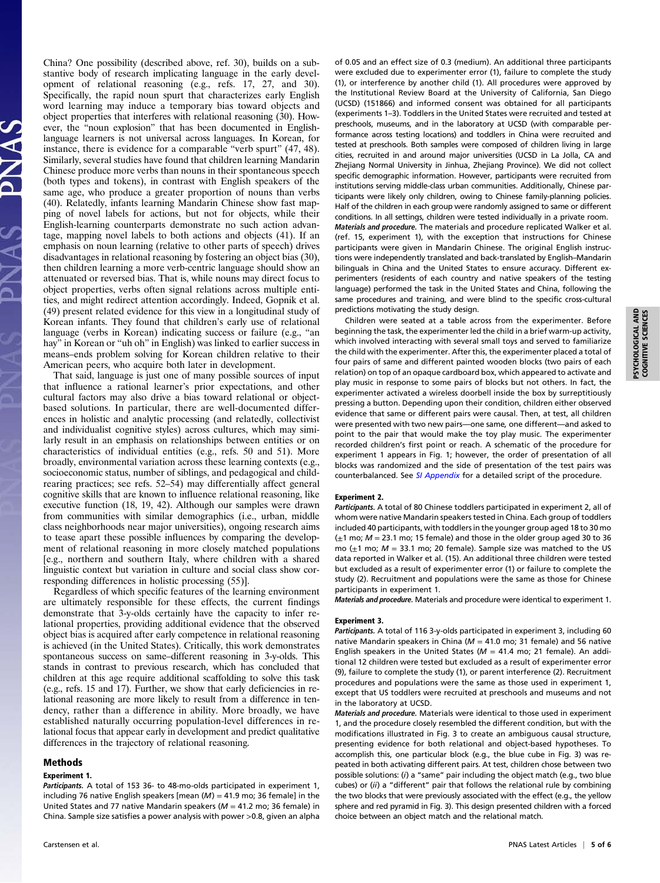China? One possibility (described above, ref. 30), builds on a substantive body of research implicating language in the early development of relational reasoning (e.g., refs. 17, 27, and 30). Specifically, the rapid noun spurt that characterizes early English word learning may induce a temporary bias toward objects and object properties that interferes with relational reasoning (30). However, the "noun explosion" that has been documented in Englishlanguage learners is not universal across languages. In Korean, for instance, there is evidence for a comparable "verb spurt" (47, 48). Similarly, several studies have found that children learning Mandarin Chinese produce more verbs than nouns in their spontaneous speech (both types and tokens), in contrast with English speakers of the same age, who produce a greater proportion of nouns than verbs (40). Relatedly, infants learning Mandarin Chinese show fast mapping of novel labels for actions, but not for objects, while their English-learning counterparts demonstrate no such action advantage, mapping novel labels to both actions and objects (41). If an emphasis on noun learning (relative to other parts of speech) drives disadvantages in relational reasoning by fostering an object bias (30), then children learning a more verb-centric language should show an attenuated or reversed bias. That is, while nouns may direct focus to object properties, verbs often signal relations across multiple entities, and might redirect attention accordingly. Indeed, Gopnik et al. (49) present related evidence for this view in a longitudinal study of Korean infants. They found that children's early use of relational language (verbs in Korean) indicating success or failure (e.g., "an hay" in Korean or "uh oh" in English) was linked to earlier success in means–ends problem solving for Korean children relative to their American peers, who acquire both later in development.

That said, language is just one of many possible sources of input that influence a rational learner's prior expectations, and other cultural factors may also drive a bias toward relational or objectbased solutions. In particular, there are well-documented differences in holistic and analytic processing (and relatedly, collectivist and individualist cognitive styles) across cultures, which may similarly result in an emphasis on relationships between entities or on characteristics of individual entities (e.g., refs. 50 and 51). More broadly, environmental variation across these learning contexts (e.g., socioeconomic status, number of siblings, and pedagogical and childrearing practices; see refs. 52–54) may differentially affect general cognitive skills that are known to influence relational reasoning, like executive function (18, 19, 42). Although our samples were drawn from communities with similar demographics (i.e., urban, middle class neighborhoods near major universities), ongoing research aims to tease apart these possible influences by comparing the development of relational reasoning in more closely matched populations [e.g., northern and southern Italy, where children with a shared linguistic context but variation in culture and social class show corresponding differences in holistic processing (55)].

Regardless of which specific features of the learning environment are ultimately responsible for these effects, the current findings demonstrate that 3-y-olds certainly have the capacity to infer relational properties, providing additional evidence that the observed object bias is acquired after early competence in relational reasoning is achieved (in the United States). Critically, this work demonstrates spontaneous success on same–different reasoning in 3-y-olds. This stands in contrast to previous research, which has concluded that children at this age require additional scaffolding to solve this task (e.g., refs. 15 and 17). Further, we show that early deficiencies in relational reasoning are more likely to result from a difference in tendency, rather than a difference in ability. More broadly, we have established naturally occurring population-level differences in relational focus that appear early in development and predict qualitative differences in the trajectory of relational reasoning.

## Methods

#### Experiment 1.

Participants. A total of 153 36- to 48-mo-olds participated in experiment 1, including 76 native English speakers [mean  $(M) = 41.9$  mo; 36 female] in the United States and 77 native Mandarin speakers ( $M = 41.2$  mo; 36 female) in China. Sample size satisfies a power analysis with power >0.8, given an alpha

of 0.05 and an effect size of 0.3 (medium). An additional three participants were excluded due to experimenter error (1), failure to complete the study (1), or interference by another child (1). All procedures were approved by the Institutional Review Board at the University of California, San Diego (UCSD) (151866) and informed consent was obtained for all participants (experiments 1–3). Toddlers in the United States were recruited and tested at preschools, museums, and in the laboratory at UCSD (with comparable performance across testing locations) and toddlers in China were recruited and tested at preschools. Both samples were composed of children living in large cities, recruited in and around major universities (UCSD in La Jolla, CA and Zhejiang Normal University in Jinhua, Zhejiang Province). We did not collect specific demographic information. However, participants were recruited from institutions serving middle-class urban communities. Additionally, Chinese participants were likely only children, owing to Chinese family-planning policies. Half of the children in each group were randomly assigned to same or different conditions. In all settings, children were tested individually in a private room. Materials and procedure. The materials and procedure replicated Walker et al. (ref. 15, experiment 1), with the exception that instructions for Chinese participants were given in Mandarin Chinese. The original English instructions were independently translated and back-translated by English–Mandarin bilinguals in China and the United States to ensure accuracy. Different experimenters (residents of each country and native speakers of the testing language) performed the task in the United States and China, following the same procedures and training, and were blind to the specific cross-cultural predictions motivating the study design.

Children were seated at a table across from the experimenter. Before beginning the task, the experimenter led the child in a brief warm-up activity, which involved interacting with several small toys and served to familiarize the child with the experimenter. After this, the experimenter placed a total of four pairs of same and different painted wooden blocks (two pairs of each relation) on top of an opaque cardboard box, which appeared to activate and play music in response to some pairs of blocks but not others. In fact, the experimenter activated a wireless doorbell inside the box by surreptitiously pressing a button. Depending upon their condition, children either observed evidence that same or different pairs were causal. Then, at test, all children were presented with two new pairs—one same, one different—and asked to point to the pair that would make the toy play music. The experimenter recorded children's first point or reach. A schematic of the procedure for experiment 1 appears in Fig. 1; however, the order of presentation of all blocks was randomized and the side of presentation of the test pairs was counterbalanced. See [SI Appendix](https://www.pnas.org/lookup/suppl/doi:10.1073/pnas.1818365116/-/DCSupplemental) for a detailed script of the procedure.

#### Experiment 2.

Participants. A total of 80 Chinese toddlers participated in experiment 2, all of whom were native Mandarin speakers tested in China. Each group of toddlers included 40 participants, with toddlers in the younger group aged 18 to 30 mo  $(\pm 1 \text{ mo}; M = 23.1 \text{ mo}; 15 \text{ female})$  and those in the older group aged 30 to 36 mo ( $\pm$ 1 mo;  $M$  = 33.1 mo; 20 female). Sample size was matched to the US data reported in Walker et al. (15). An additional three children were tested but excluded as a result of experimenter error (1) or failure to complete the study (2). Recruitment and populations were the same as those for Chinese participants in experiment 1.

Materials and procedure. Materials and procedure were identical to experiment 1.

#### Experiment 3.

Participants. A total of 116 3-y-olds participated in experiment 3, including 60 native Mandarin speakers in China ( $M = 41.0$  mo; 31 female) and 56 native English speakers in the United States ( $M = 41.4$  mo; 21 female). An additional 12 children were tested but excluded as a result of experimenter error (9), failure to complete the study (1), or parent interference (2). Recruitment procedures and populations were the same as those used in experiment 1, except that US toddlers were recruited at preschools and museums and not in the laboratory at UCSD.

Materials and procedure. Materials were identical to those used in experiment 1, and the procedure closely resembled the different condition, but with the modifications illustrated in Fig. 3 to create an ambiguous causal structure, presenting evidence for both relational and object-based hypotheses. To accomplish this, one particular block (e.g., the blue cube in Fig. 3) was repeated in both activating different pairs. At test, children chose between two possible solutions: (i) a "same" pair including the object match (e.g., two blue cubes) or (ii) a "different" pair that follows the relational rule by combining the two blocks that were previously associated with the effect (e.g., the yellow sphere and red pyramid in Fig. 3). This design presented children with a forced choice between an object match and the relational match.